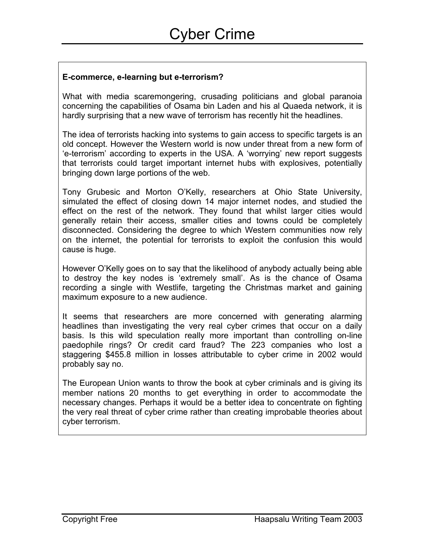# **E-commerce, e-learning but e-terrorism?**

What with media scaremongering, crusading politicians and global paranoia concerning the capabilities of Osama bin Laden and his al Quaeda network, it is hardly surprising that a new wave of terrorism has recently hit the headlines.

The idea of terrorists hacking into systems to gain access to specific targets is an old concept. However the Western world is now under threat from a new form of 'e-terrorism' according to experts in the USA. A 'worrying' new report suggests that terrorists could target important internet hubs with explosives, potentially bringing down large portions of the web.

Tony Grubesic and Morton O'Kelly, researchers at Ohio State University, simulated the effect of closing down 14 major internet nodes, and studied the effect on the rest of the network. They found that whilst larger cities would generally retain their access, smaller cities and towns could be completely disconnected. Considering the degree to which Western communities now rely on the internet, the potential for terrorists to exploit the confusion this would cause is huge.

However O'Kelly goes on to say that the likelihood of anybody actually being able to destroy the key nodes is 'extremely small'. As is the chance of Osama recording a single with Westlife, targeting the Christmas market and gaining maximum exposure to a new audience.

It seems that researchers are more concerned with generating alarming headlines than investigating the very real cyber crimes that occur on a daily basis. Is this wild speculation really more important than controlling on-line paedophile rings? Or credit card fraud? The 223 companies who lost a staggering \$455.8 million in losses attributable to cyber crime in 2002 would probably say no.

The European Union wants to throw the book at cyber criminals and is giving its member nations 20 months to get everything in order to accommodate the necessary changes. Perhaps it would be a better idea to concentrate on fighting the very real threat of cyber crime rather than creating improbable theories about cyber terrorism.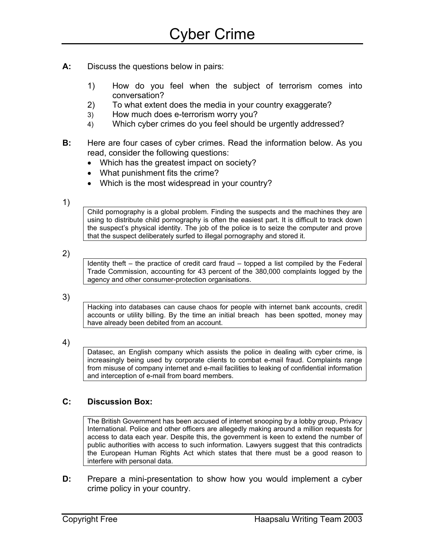- **A:** Discuss the questions below in pairs:
	- 1) How do you feel when the subject of terrorism comes into conversation?
	- 2) To what extent does the media in your country exaggerate?
	- 3) How much does e-terrorism worry you?
	- 4) Which cyber crimes do you feel should be urgently addressed?
- **B:** Here are four cases of cyber crimes. Read the information below. As you read, consider the following questions:
	- Which has the greatest impact on society?
	- What punishment fits the crime?
	- Which is the most widespread in your country?

#### 1)

Child pornography is a global problem. Finding the suspects and the machines they are using to distribute child pornography is often the easiest part. It is difficult to track down the suspect's physical identity. The job of the police is to seize the computer and prove that the suspect deliberately surfed to illegal pornography and stored it.

#### 2)

Identity theft – the practice of credit card fraud – topped a list compiled by the Federal Trade Commission, accounting for 43 percent of the 380,000 complaints logged by the agency and other consumer-protection organisations.

#### 3)

Hacking into databases can cause chaos for people with internet bank accounts, credit accounts or utility billing. By the time an initial breach has been spotted, money may have already been debited from an account.

#### 4)

Datasec, an English company which assists the police in dealing with cyber crime, is increasingly being used by corporate clients to combat e-mail fraud. Complaints range from misuse of company internet and e-mail facilities to leaking of confidential information and interception of e-mail from board members.

## **C: Discussion Box:**

The British Government has been accused of internet snooping by a lobby group, Privacy International. Police and other officers are allegedly making around a million requests for access to data each year. Despite this, the government is keen to extend the number of public authorities with access to such information. Lawyers suggest that this contradicts the European Human Rights Act which states that there must be a good reason to interfere with personal data.

**D:** Prepare a mini-presentation to show how you would implement a cyber crime policy in your country.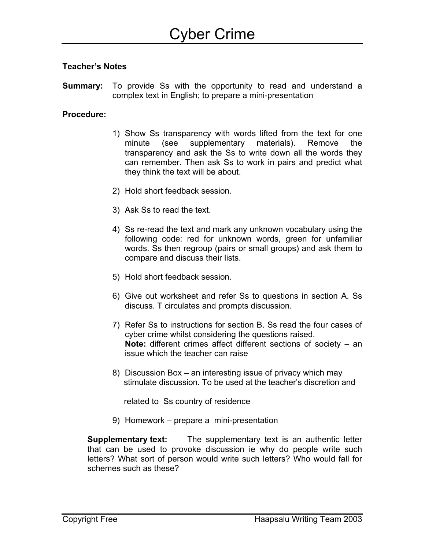## **Teacher's Notes**

**Summary:** To provide Ss with the opportunity to read and understand a complex text in English; to prepare a mini-presentation

### **Procedure:**

- 1) Show Ss transparency with words lifted from the text for one minute (see supplementary materials). Remove the transparency and ask the Ss to write down all the words they can remember. Then ask Ss to work in pairs and predict what they think the text will be about.
- 2) Hold short feedback session.
- 3) Ask Ss to read the text.
- 4) Ss re-read the text and mark any unknown vocabulary using the following code: red for unknown words, green for unfamiliar words. Ss then regroup (pairs or small groups) and ask them to compare and discuss their lists.
- 5) Hold short feedback session.
- 6) Give out worksheet and refer Ss to questions in section A. Ss discuss. T circulates and prompts discussion.
- 7) Refer Ss to instructions for section B. Ss read the four cases of cyber crime whilst considering the questions raised. **Note:** different crimes affect different sections of society – an issue which the teacher can raise
- 8) Discussion Box an interesting issue of privacy which may stimulate discussion. To be used at the teacher's discretion and

related to Ss country of residence

9) Homework – prepare a mini-presentation

**Supplementary text:** The supplementary text is an authentic letter that can be used to provoke discussion ie why do people write such letters? What sort of person would write such letters? Who would fall for schemes such as these?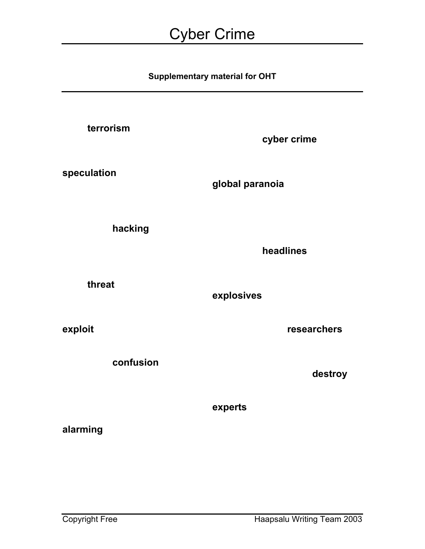**Supplementary material for OHT**

**terrorism**

**cyber crime**

**speculation**

**global paranoia**

**hacking**

**headlines**

**threat**

**explosives**

**exploit researchers**

**confusion**

**destroy**

**experts**

**alarming**